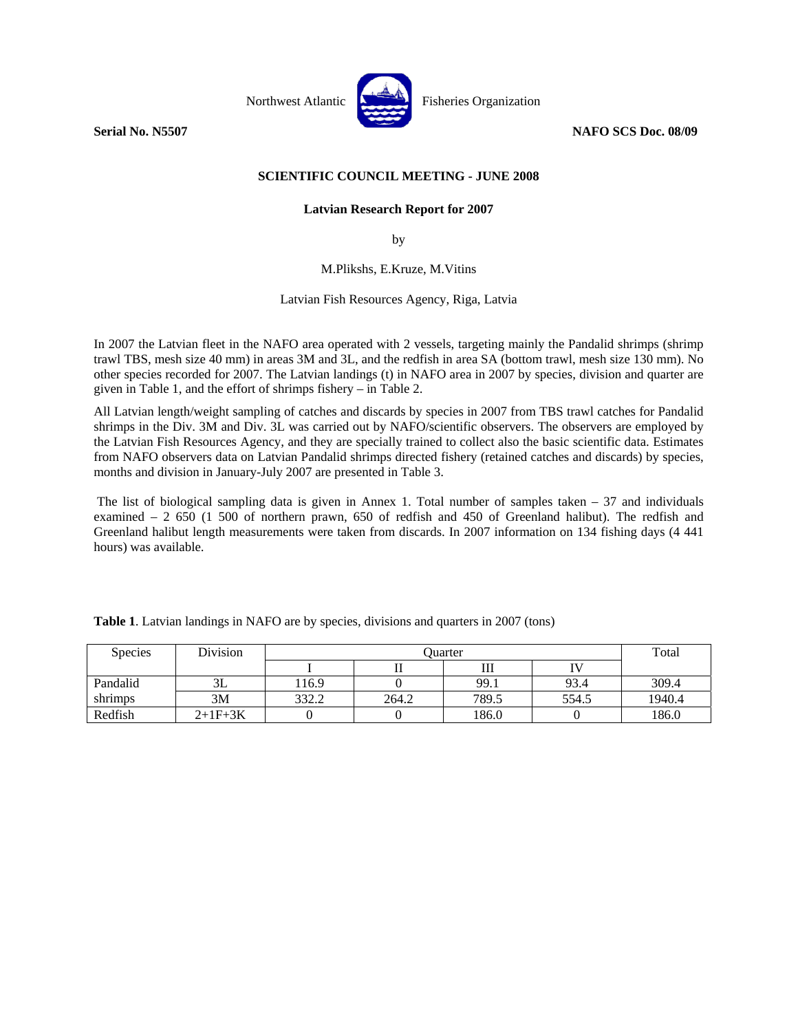

## **SCIENTIFIC COUNCIL MEETING - JUNE 2008**

## **Latvian Research Report for 2007**

by

M.Plikshs, E.Kruze, M.Vitins

Latvian Fish Resources Agency, Riga, Latvia

In 2007 the Latvian fleet in the NAFO area operated with 2 vessels, targeting mainly the Pandalid shrimps (shrimp trawl TBS, mesh size 40 mm) in areas 3M and 3L, and the redfish in area SA (bottom trawl, mesh size 130 mm). No other species recorded for 2007. The Latvian landings (t) in NAFO area in 2007 by species, division and quarter are given in Table 1, and the effort of shrimps fishery – in Table 2.

All Latvian length/weight sampling of catches and discards by species in 2007 from TBS trawl catches for Pandalid shrimps in the Div. 3M and Div. 3L was carried out by NAFO/scientific observers. The observers are employed by the Latvian Fish Resources Agency, and they are specially trained to collect also the basic scientific data. Estimates from NAFO observers data on Latvian Pandalid shrimps directed fishery (retained catches and discards) by species, months and division in January-July 2007 are presented in Table 3.

 The list of biological sampling data is given in Annex 1. Total number of samples taken – 37 and individuals examined – 2 650 (1 500 of northern prawn, 650 of redfish and 450 of Greenland halibut). The redfish and Greenland halibut length measurements were taken from discards. In 2007 information on 134 fishing days (4 441 hours) was available.

| <b>Species</b> | Division  |       | Total |       |       |        |
|----------------|-----------|-------|-------|-------|-------|--------|
|                |           |       |       | Ш     |       |        |
| Pandalid       | ىلە       | 116.9 |       | 99.1  | 93.4  | 309.4  |
| shrimps        | 3M        | 332.2 | 264.2 | 789.5 | 554.5 | 1940.4 |
| Redfish        | $2+1F+3K$ |       |       | 186.0 |       | 186.0  |

**Table 1**. Latvian landings in NAFO are by species, divisions and quarters in 2007 (tons)